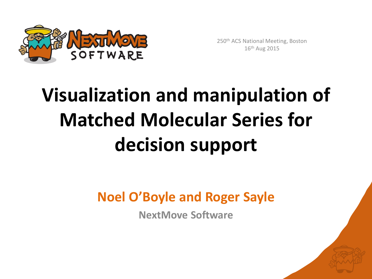

250th ACS National Meeting, Boston 16th Aug 2015

## **Visualization and manipulation of Matched Molecular Series for decision support**

**Noel O'Boyle and Roger Sayle**

**NextMove Software**

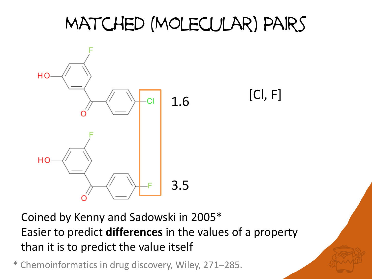#### Matched (Molecular) Pairs



Coined by Kenny and Sadowski in 2005\* Easier to predict **differences** in the values of a property than it is to predict the value itself

\* Chemoinformatics in drug discovery, Wiley, 271–285.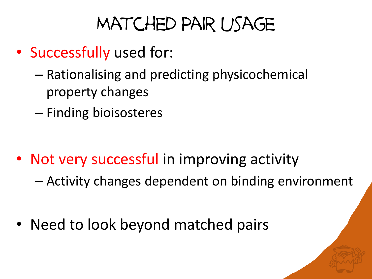#### Matched Pair usage

- Successfully used for:
	- Rationalising and predicting physicochemical property changes
	- Finding bioisosteres

- Not very successful in improving activity
	- Activity changes dependent on binding environment
- Need to look beyond matched pairs

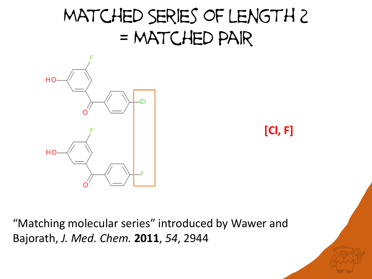#### Matched Series of length 2 = Matched Pair



**[Cl, F]**

"Matching molecular series" introduced by Wawer and Bajorath, *J. Med. Chem.* **2011**, *54*, 2944

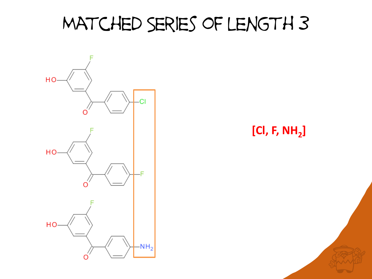#### Matched Series of length 3



**[Cl, F, NH<sup>2</sup> ]**

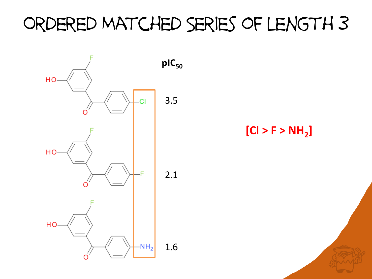#### Ordered Matched Series of length 3

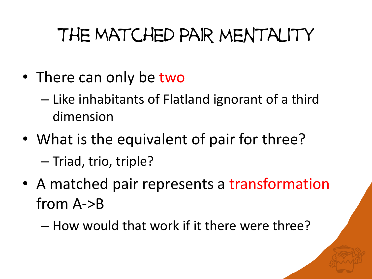### The Matched Pair mentality

- There can only be two
	- Like inhabitants of Flatland ignorant of a third dimension
- What is the equivalent of pair for three? – Triad, trio, triple?
- A matched pair represents a transformation from A->B
	- How would that work if it there were three?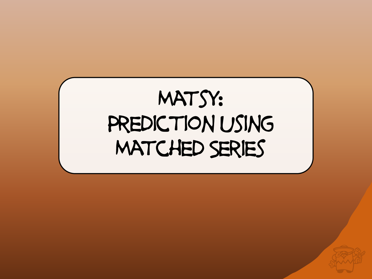# MATSY: PREDICTION USING Matched Series

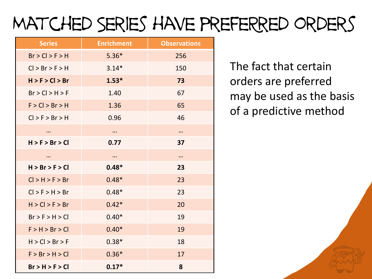## Matched Series have prefeRred orders

| <b>Series</b>   | <b>Enrichment</b> | <b>Observations</b> |  |
|-----------------|-------------------|---------------------|--|
| Br > Cl > F > H | $5.36*$           | 256                 |  |
| Cl > Br > F > H | $3.14*$           | 150                 |  |
| H > F > Cl > Br | $1.53*$           | 73                  |  |
| Br > Cl > H > F | 1.40              | 67                  |  |
| F > Cl > Br > H | 1.36              | 65                  |  |
| Cl > F > Br > H | 0.96              | 46                  |  |
| $\cdots$        | $\cdots$          |                     |  |
| H > F > Br > Cl | 0.77              | 37                  |  |
| $\cdots$        |                   |                     |  |
| H > Br > F > Cl | $0.48*$           | 23                  |  |
| Cl > H > F > Br | $0.48*$           | 23                  |  |
| Cl > F > H > Br | $0.48*$           | 23                  |  |
| H > Cl > F > Br | $0.42*$           | 20                  |  |
| Br > F > H > Cl | $0.40*$           | 19                  |  |
| F > H > Br > Cl | $0.40*$           | 19                  |  |
| H > Cl > Br > F | $0.38*$           | 18                  |  |
| F > Br > H > Cl | $0.36*$           | 17                  |  |
| Br > H > F > Cl | $0.17*$           | 8                   |  |

The fact that certain orders are preferred may be used as the basis of a predictive method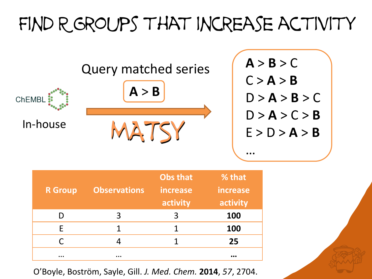### FIND R GROUPS THAT INCREASE ACTIVITY



| <b>R</b> Group | <b>Observations</b> | <b>Obs that</b><br>increase<br>activity | % that<br>increase<br>activity |
|----------------|---------------------|-----------------------------------------|--------------------------------|
|                | 3                   | 3                                       | 100                            |
| F.             | 1                   |                                         | 100                            |
| C.             | 4                   |                                         | 25                             |
| $\cdots$       | $\cdots$            |                                         | $\cdots$                       |

O'Boyle, Boström, Sayle, Gill. *J. Med. Chem.* **2014**, *57*, 2704.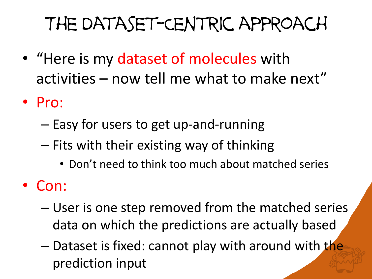## The Dataset-Centric approach

- "Here is my dataset of molecules with activities – now tell me what to make next"
- Pro:
	- Easy for users to get up-and-running
	- Fits with their existing way of thinking
		- Don't need to think too much about matched series
- Con:
	- User is one step removed from the matched series data on which the predictions are actually based
	- Dataset is fixed: cannot play with around with the prediction input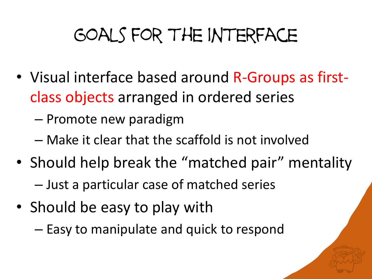## Goals for the interface

- Visual interface based around R-Groups as firstclass objects arranged in ordered series
	- Promote new paradigm
	- Make it clear that the scaffold is not involved
- Should help break the "matched pair" mentality – Just a particular case of matched series
- Should be easy to play with
	- Easy to manipulate and quick to respond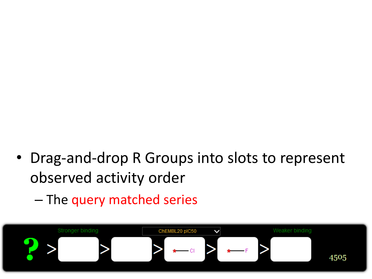- Drag-and-drop R Groups into slots to represent observed activity order
	- The query matched series

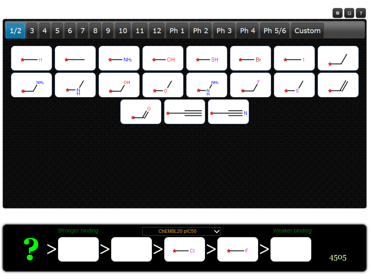

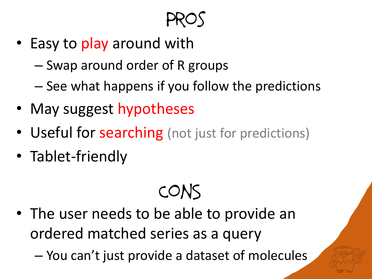Pros

- Easy to play around with
	- Swap around order of R groups
	- See what happens if you follow the predictions
- May suggest hypotheses
- Useful for searching (not just for predictions)
- Tablet-friendly

ConS

- The user needs to be able to provide an ordered matched series as a query
	- You can't just provide a dataset of molecules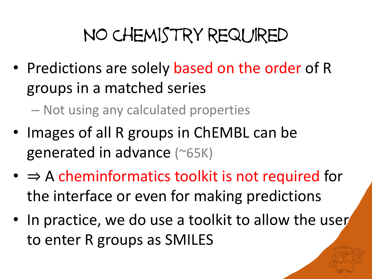#### No Chemistry required

- Predictions are solely based on the order of R groups in a matched series
	- Not using any calculated properties
- Images of all R groups in ChEMBL can be generated in advance (~65K)
- $\bullet \Rightarrow A$  cheminformatics toolkit is not required for the interface or even for making predictions
- In practice, we do use a toolkit to allow the user to enter R groups as SMILES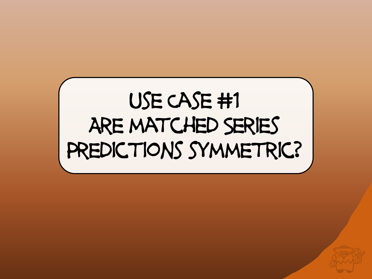# Use Case #1 Are matched Series PREDICTIONS SYMMETRIC?

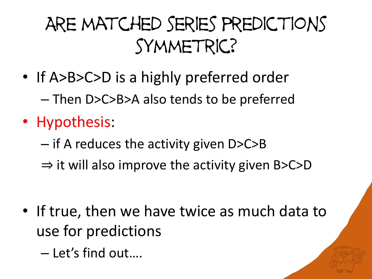### Are matched series predictions symmetric?

- If A>B>C>D is a highly preferred order – Then D>C>B>A also tends to be preferred
- Hypothesis:
	- if A reduces the activity given D>C>B
	- $\Rightarrow$  it will also improve the activity given B>C>D

- If true, then we have twice as much data to use for predictions
	- Let's find out….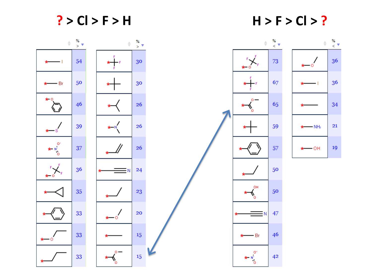**? > Cl > F > H H > F > Cl > ?**

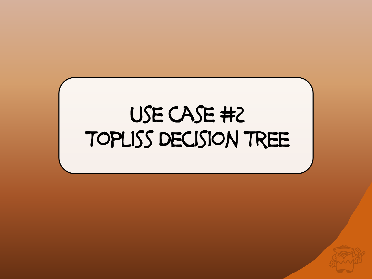## Use case #2 Topliss Decision Tree

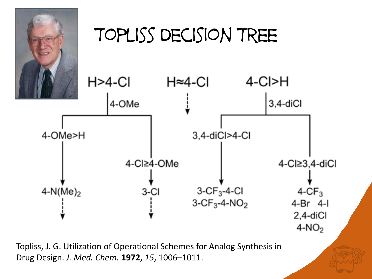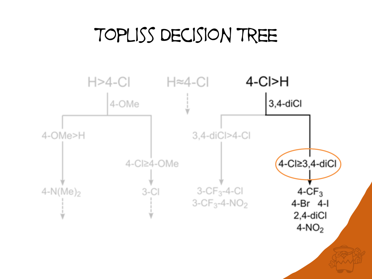#### Topliss Decision Tree

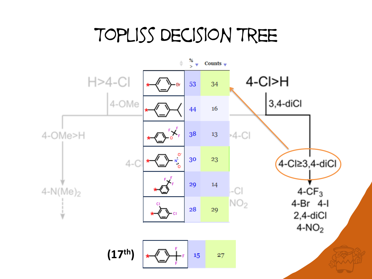#### Topliss Decision Tree

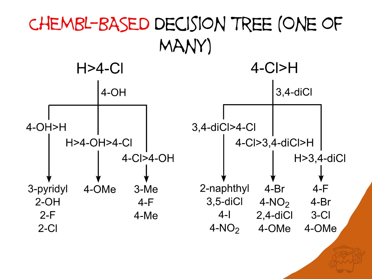